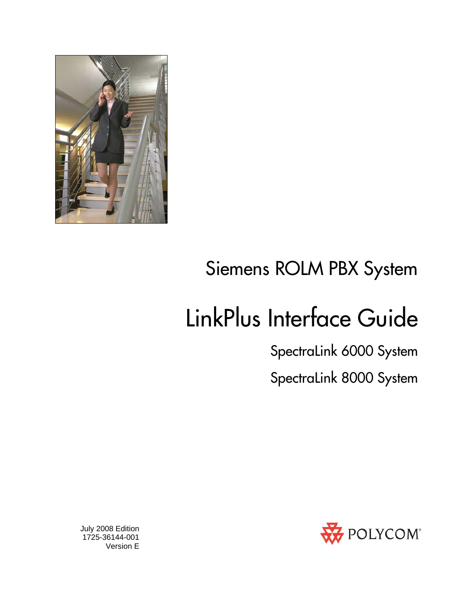

# Siemens ROLM PBX System

# LinkPlus Interface Guide

SpectraLink 6000 System

SpectraLink 8000 System



 July 2008 Edition 1725-36144-001 Version E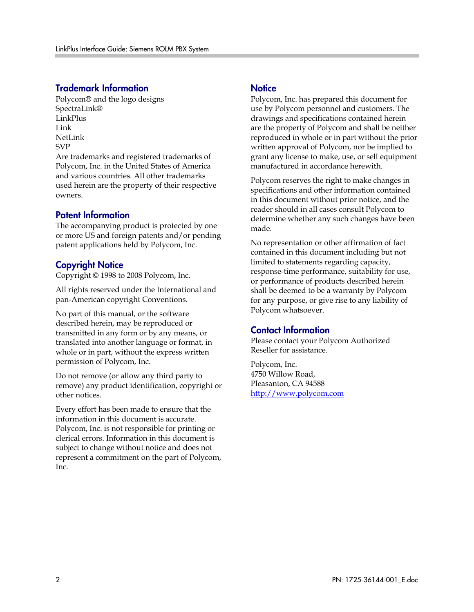#### Trademark Information

Polycom® and the logo designs SpectraLink® LinkPlus Link NetLink SVP

Are trademarks and registered trademarks of Polycom, Inc. in the United States of America and various countries. All other trademarks used herein are the property of their respective owners.

#### Patent Information

The accompanying product is protected by one or more US and foreign patents and/or pending patent applications held by Polycom, Inc.

#### Copyright Notice

Copyright © 1998 to 2008 Polycom, Inc.

All rights reserved under the International and pan-American copyright Conventions.

No part of this manual, or the software described herein, may be reproduced or transmitted in any form or by any means, or translated into another language or format, in whole or in part, without the express written permission of Polycom, Inc.

Do not remove (or allow any third party to remove) any product identification, copyright or other notices.

Every effort has been made to ensure that the information in this document is accurate. Polycom, Inc. is not responsible for printing or clerical errors. Information in this document is subject to change without notice and does not represent a commitment on the part of Polycom, Inc.

#### **Notice**

Polycom, Inc. has prepared this document for use by Polycom personnel and customers. The drawings and specifications contained herein are the property of Polycom and shall be neither reproduced in whole or in part without the prior written approval of Polycom, nor be implied to grant any license to make, use, or sell equipment manufactured in accordance herewith.

Polycom reserves the right to make changes in specifications and other information contained in this document without prior notice, and the reader should in all cases consult Polycom to determine whether any such changes have been made.

No representation or other affirmation of fact contained in this document including but not limited to statements regarding capacity, response-time performance, suitability for use, or performance of products described herein shall be deemed to be a warranty by Polycom for any purpose, or give rise to any liability of Polycom whatsoever.

#### Contact Information

Please contact your Polycom Authorized Reseller for assistance.

Polycom, Inc. 4750 Willow Road, Pleasanton, CA 94588 [http://www.polycom.com](http://www.polycom.com/)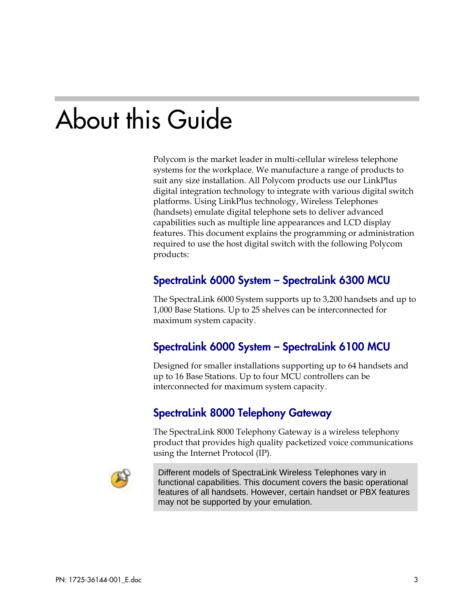# About this Guide

Polycom is the market leader in multi-cellular wireless telephone systems for the workplace. We manufacture a range of products to suit any size installation. All Polycom products use our LinkPlus digital integration technology to integrate with various digital switch platforms. Using LinkPlus technology, Wireless Telephones (handsets) emulate digital telephone sets to deliver advanced capabilities such as multiple line appearances and LCD display features. This document explains the programming or administration required to use the host digital switch with the following Polycom products:

### SpectraLink 6000 System – SpectraLink 6300 MCU

The SpectraLink 6000 System supports up to 3,200 handsets and up to 1,000 Base Stations. Up to 25 shelves can be interconnected for maximum system capacity.

### SpectraLink 6000 System – SpectraLink 6100 MCU

Designed for smaller installations supporting up to 64 handsets and up to 16 Base Stations. Up to four MCU controllers can be interconnected for maximum system capacity.

#### SpectraLink 8000 Telephony Gateway

The SpectraLink 8000 Telephony Gateway is a wireless telephony product that provides high quality packetized voice communications using the Internet Protocol (IP).



Different models of SpectraLink Wireless Telephones vary in functional capabilities. This document covers the basic operational features of all handsets. However, certain handset or PBX features may not be supported by your emulation.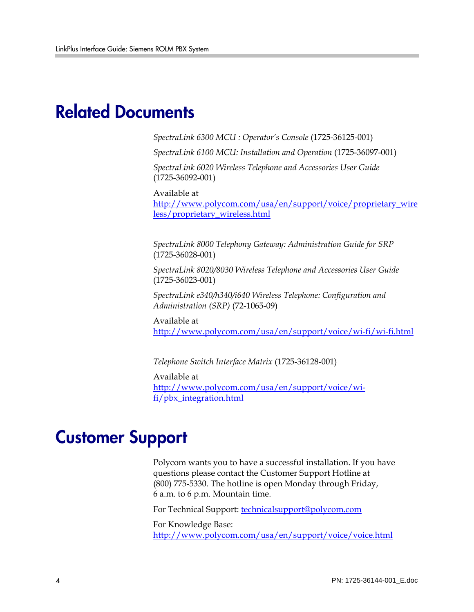## Related Documents

*SpectraLink 6300 MCU : Operator's Console* (1725-36125-001)

*SpectraLink 6100 MCU: Installation and Operation* (1725-36097-001)

*SpectraLink 6020 Wireless Telephone and Accessories User Guide*  (1725-36092-001)

Available at

[http://www.polycom.com/usa/en/support/voice/proprietary\\_wire](http://www.polycom.com/usa/en/support/voice/proprietary_wireless/proprietary_wireless.html) [less/proprietary\\_wireless.html](http://www.polycom.com/usa/en/support/voice/proprietary_wireless/proprietary_wireless.html)

*SpectraLink 8000 Telephony Gateway: Administration Guide for SRP*  (1725-36028-001)

*SpectraLink 8020/8030 Wireless Telephone and Accessories User Guide*  (1725-36023-001)

*SpectraLink e340/h340/i640 Wireless Telephone: Configuration and Administration (SRP)* (72-1065-09)

Available at <http://www.polycom.com/usa/en/support/voice/wi-fi/wi-fi.html>

*Telephone Switch Interface Matrix* (1725-36128-001)

Available at [http://www.polycom.com/usa/en/support/voice/wi](http://www.polycom.com/usa/en/support/voice/wi-fi/pbx_integration.html)[fi/pbx\\_integration.html](http://www.polycom.com/usa/en/support/voice/wi-fi/pbx_integration.html)

## Customer Support

Polycom wants you to have a successful installation. If you have questions please contact the Customer Support Hotline at (800) 775-5330. The hotline is open Monday through Friday, 6 a.m. to 6 p.m. Mountain time.

For Technical Support: [technicalsupport@polycom.com](mailto:technicalsupport@polycom.com)

For Knowledge Base: <http://www.polycom.com/usa/en/support/voice/voice.html>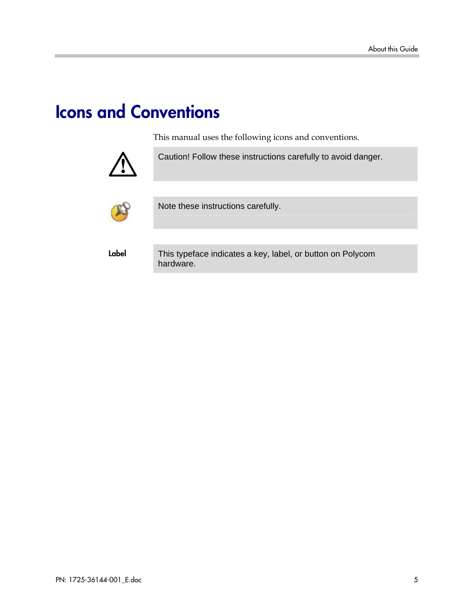# Icons and Conventions

This manual uses the following icons and conventions.



Caution! Follow these instructions carefully to avoid danger.



Note these instructions carefully.

Label This typeface indicates a key, label, or button on Polycom hardware.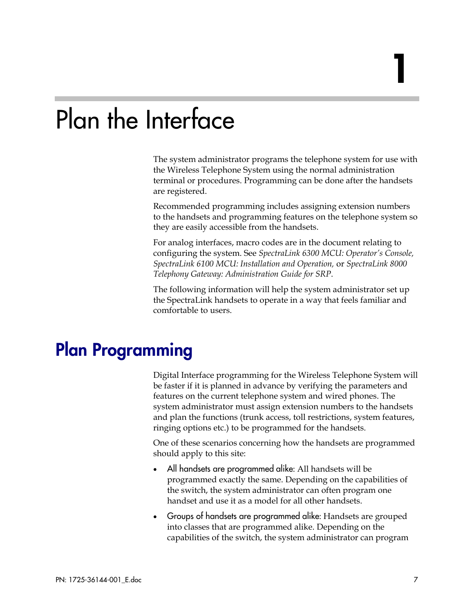# Plan the Interface

The system administrator programs the telephone system for use with the Wireless Telephone System using the normal administration terminal or procedures. Programming can be done after the handsets are registered.

Recommended programming includes assigning extension numbers to the handsets and programming features on the telephone system so they are easily accessible from the handsets.

For analog interfaces, macro codes are in the document relating to configuring the system. See *SpectraLink 6300 MCU: Operator's Console, SpectraLink 6100 MCU: Installation and Operation,* or *SpectraLink 8000 Telephony Gateway: Administration Guide for SRP*.

The following information will help the system administrator set up the SpectraLink handsets to operate in a way that feels familiar and comfortable to users.

## Plan Programming

Digital Interface programming for the Wireless Telephone System will be faster if it is planned in advance by verifying the parameters and features on the current telephone system and wired phones. The system administrator must assign extension numbers to the handsets and plan the functions (trunk access, toll restrictions, system features, ringing options etc.) to be programmed for the handsets.

One of these scenarios concerning how the handsets are programmed should apply to this site:

- All handsets are programmed alike: All handsets will be programmed exactly the same. Depending on the capabilities of the switch, the system administrator can often program one handset and use it as a model for all other handsets.
- Groups of handsets are programmed alike: Handsets are grouped into classes that are programmed alike. Depending on the capabilities of the switch, the system administrator can program

1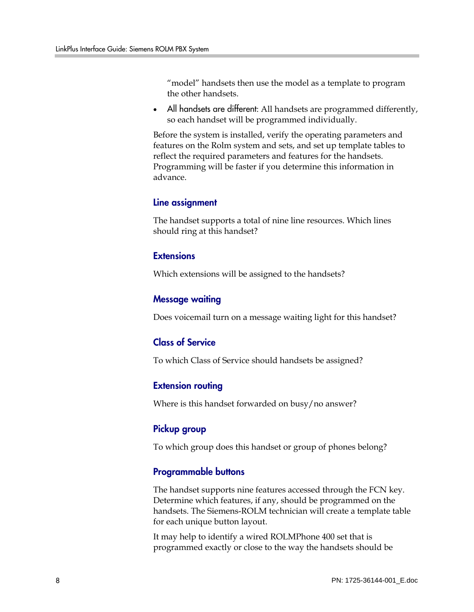"model" handsets then use the model as a template to program the other handsets.

All handsets are different: All handsets are programmed differently, so each handset will be programmed individually.

Before the system is installed, verify the operating parameters and features on the Rolm system and sets, and set up template tables to reflect the required parameters and features for the handsets. Programming will be faster if you determine this information in advance.

#### Line assignment

The handset supports a total of nine line resources. Which lines should ring at this handset?

#### **Extensions**

Which extensions will be assigned to the handsets?

#### Message waiting

Does voicemail turn on a message waiting light for this handset?

#### Class of Service

To which Class of Service should handsets be assigned?

#### Extension routing

Where is this handset forwarded on busy/no answer?

#### Pickup group

To which group does this handset or group of phones belong?

#### Programmable buttons

The handset supports nine features accessed through the FCN key. Determine which features, if any, should be programmed on the handsets. The Siemens-ROLM technician will create a template table for each unique button layout.

It may help to identify a wired ROLMPhone 400 set that is programmed exactly or close to the way the handsets should be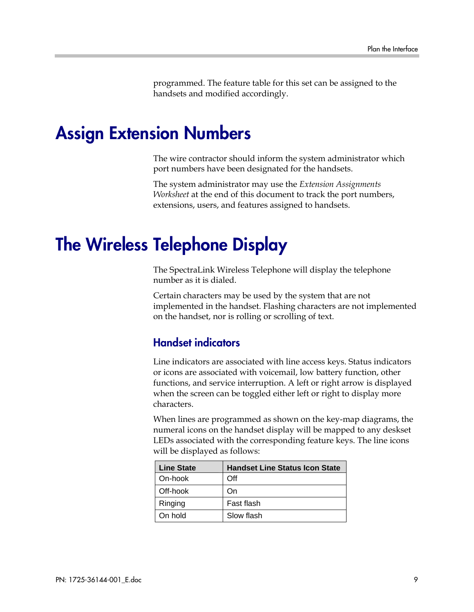programmed. The feature table for this set can be assigned to the handsets and modified accordingly.

### Assign Extension Numbers

The wire contractor should inform the system administrator which port numbers have been designated for the handsets.

The system administrator may use the *Extension Assignments Worksheet* at the end of this document to track the port numbers, extensions, users, and features assigned to handsets.

## The Wireless Telephone Display

The SpectraLink Wireless Telephone will display the telephone number as it is dialed.

Certain characters may be used by the system that are not implemented in the handset. Flashing characters are not implemented on the handset, nor is rolling or scrolling of text.

#### Handset indicators

Line indicators are associated with line access keys. Status indicators or icons are associated with voicemail, low battery function, other functions, and service interruption. A left or right arrow is displayed when the screen can be toggled either left or right to display more characters.

When lines are programmed as shown on the key-map diagrams, the numeral icons on the handset display will be mapped to any deskset LEDs associated with the corresponding feature keys. The line icons will be displayed as follows:

| <b>Line State</b> | <b>Handset Line Status Icon State</b> |
|-------------------|---------------------------------------|
| On-hook           | Off                                   |
| Off-hook          | On                                    |
| Ringing           | Fast flash                            |
| On hold           | Slow flash                            |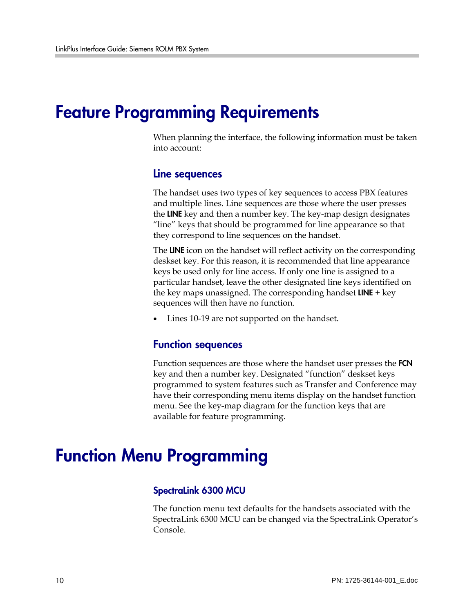## Feature Programming Requirements

When planning the interface, the following information must be taken into account:

#### Line sequences

The handset uses two types of key sequences to access PBX features and multiple lines. Line sequences are those where the user presses the LINE key and then a number key. The key-map design designates "line" keys that should be programmed for line appearance so that they correspond to line sequences on the handset.

The LINE icon on the handset will reflect activity on the corresponding deskset key. For this reason, it is recommended that line appearance keys be used only for line access. If only one line is assigned to a particular handset, leave the other designated line keys identified on the key maps unassigned. The corresponding handset  $LINE + key$ sequences will then have no function.

• Lines 10-19 are not supported on the handset.

#### Function sequences

Function sequences are those where the handset user presses the FCN key and then a number key. Designated "function" deskset keys programmed to system features such as Transfer and Conference may have their corresponding menu items display on the handset function menu. See the key-map diagram for the function keys that are available for feature programming.

## Function Menu Programming

#### SpectraLink 6300 MCU

The function menu text defaults for the handsets associated with the SpectraLink 6300 MCU can be changed via the SpectraLink Operator's Console.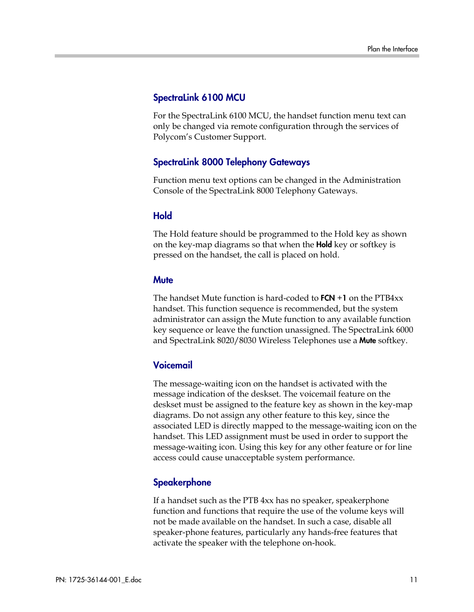#### SpectraLink 6100 MCU

For the SpectraLink 6100 MCU, the handset function menu text can only be changed via remote configuration through the services of Polycom's Customer Support.

#### SpectraLink 8000 Telephony Gateways

Function menu text options can be changed in the Administration Console of the SpectraLink 8000 Telephony Gateways.

#### Hold

The Hold feature should be programmed to the Hold key as shown on the key-map diagrams so that when the **Hold** key or softkey is pressed on the handset, the call is placed on hold.

#### **Mute**

The handset Mute function is hard-coded to  $FCN + 1$  on the  $PTB4xx$ handset. This function sequence is recommended, but the system administrator can assign the Mute function to any available function key sequence or leave the function unassigned. The SpectraLink 6000 and SpectraLink 8020/8030 Wireless Telephones use a Mute softkey.

#### Voicemail

The message-waiting icon on the handset is activated with the message indication of the deskset. The voicemail feature on the deskset must be assigned to the feature key as shown in the key-map diagrams. Do not assign any other feature to this key, since the associated LED is directly mapped to the message-waiting icon on the handset. This LED assignment must be used in order to support the message-waiting icon. Using this key for any other feature or for line access could cause unacceptable system performance.

#### **Speakerphone**

If a handset such as the PTB 4xx has no speaker, speakerphone function and functions that require the use of the volume keys will not be made available on the handset. In such a case, disable all speaker-phone features, particularly any hands-free features that activate the speaker with the telephone on-hook.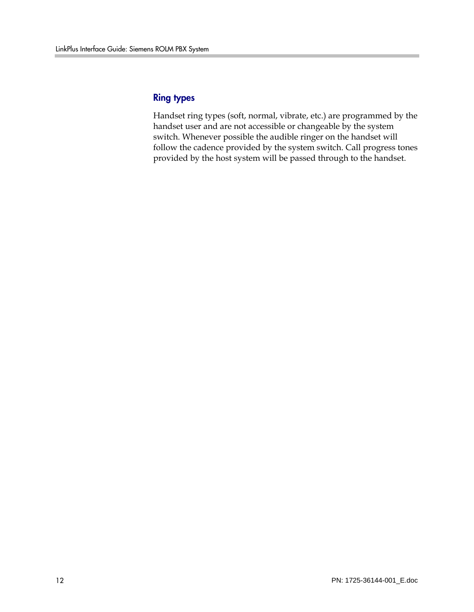#### Ring types

Handset ring types (soft, normal, vibrate, etc.) are programmed by the handset user and are not accessible or changeable by the system switch. Whenever possible the audible ringer on the handset will follow the cadence provided by the system switch. Call progress tones provided by the host system will be passed through to the handset.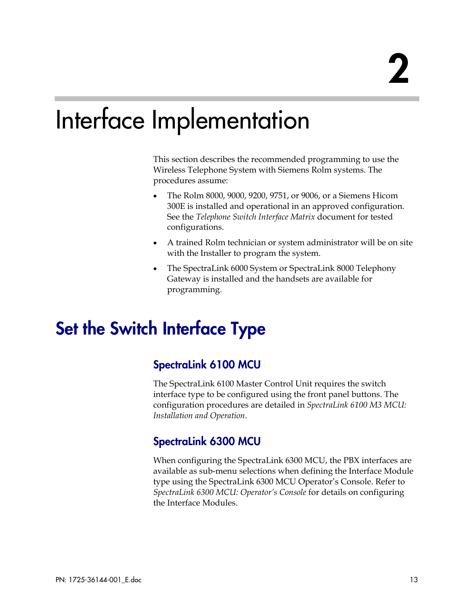# Interface Implementation

This section describes the recommended programming to use the Wireless Telephone System with Siemens Rolm systems. The procedures assume:

- The Rolm 8000, 9000, 9200, 9751, or 9006, or a Siemens Hicom 300E is installed and operational in an approved configuration. See the *Telephone Switch Interface Matrix* document for tested configurations.
- A trained Rolm technician or system administrator will be on site with the Installer to program the system.
- The SpectraLink 6000 System or SpectraLink 8000 Telephony Gateway is installed and the handsets are available for programming.

# Set the Switch Interface Type

### SpectraLink 6100 MCU

The SpectraLink 6100 Master Control Unit requires the switch interface type to be configured using the front panel buttons. The configuration procedures are detailed in *SpectraLink 6100 M3 MCU: Installation and Operation*.

### SpectraLink 6300 MCU

When configuring the SpectraLink 6300 MCU, the PBX interfaces are available as sub-menu selections when defining the Interface Module type using the SpectraLink 6300 MCU Operator's Console. Refer to *SpectraLink 6300 MCU: Operator's Console* for details on configuring the Interface Modules.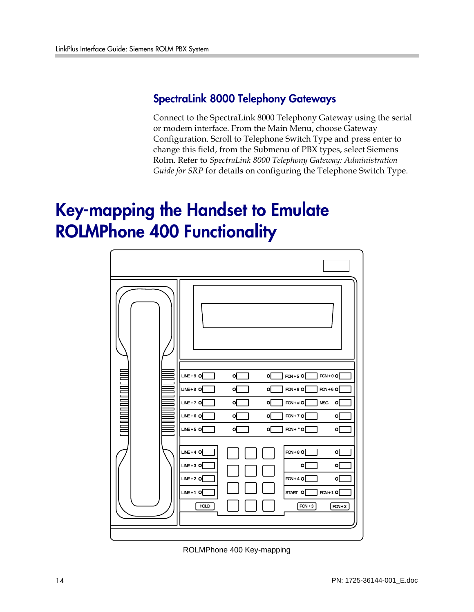### SpectraLink 8000 Telephony Gateways

Connect to the SpectraLink 8000 Telephony Gateway using the serial or modem interface. From the Main Menu, choose Gateway Configuration. Scroll to Telephone Switch Type and press enter to change this field, from the Submenu of PBX types, select Siemens Rolm. Refer to *SpectraLink 8000 Telephony Gateway: Administration Guide for SRP* for details on configuring the Telephone Switch Type.

# Key-mapping the Handset to Emulate ROLMPhone 400 Functionality

| LINE + 9 $O$<br>$FCN + 5$ O<br>$FCN + 0$ O<br><b>o</b> [<br>이<br>$FCN + 9$ O<br>LINE + 8 $O$<br>이<br>$FCN + 6$ O<br>이<br>o[<br>$FCN + #$ O<br>$LINE + 7$ O<br>o[<br>$\ensuremath{\mathsf{MSG}}$<br>이<br>$LINE + 6$ O<br>o[<br>$FCN + 7$ O<br>이<br>이<br>$FCN + * O$<br>$LINE + 5$ O<br>o[<br>이<br>$\circ$ [<br>$FCN + 8$ O<br>$LINE + 4$ O<br>٥[<br>LINE + 3 $O$<br>이<br>이<br>LINE + 2 $O$<br>$FCN + 4$ O<br>o[<br>LINE + 1 $O$<br>START O<br>$FCN + 1$ O<br>$FCN + 3$<br>$FCN + 2$<br><b>HOLD</b> |
|---------------------------------------------------------------------------------------------------------------------------------------------------------------------------------------------------------------------------------------------------------------------------------------------------------------------------------------------------------------------------------------------------------------------------------------------------------------------------------------------------|
|                                                                                                                                                                                                                                                                                                                                                                                                                                                                                                   |

ROLMPhone 400 Key-mapping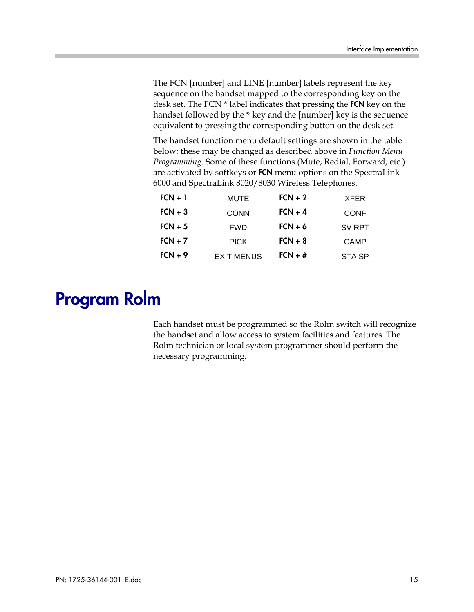The FCN [number] and LINE [number] labels represent the key sequence on the handset mapped to the corresponding key on the desk set. The FCN \* label indicates that pressing the **FCN** key on the handset followed by the **\*** key and the [number] key is the sequence equivalent to pressing the corresponding button on the desk set.

The handset function menu default settings are shown in the table below; these may be changed as described above in *Function Menu Programming*. Some of these functions (Mute, Redial, Forward, etc.) are activated by softkeys or FCN menu options on the SpectraLink 6000 and SpectraLink 8020/8030 Wireless Telephones.

| $FCN + 1$ | <b>MUTE</b>       | $FCN + 2$ | <b>XFER</b>   |
|-----------|-------------------|-----------|---------------|
| $FCN + 3$ | <b>CONN</b>       | $FCN + 4$ | <b>CONF</b>   |
| $FCN + 5$ | <b>FWD</b>        | $FCN + 6$ | SV RPT        |
| $FCN + 7$ | <b>PICK</b>       | $FCN + 8$ | <b>CAMP</b>   |
| $FCN + 9$ | <b>EXIT MENUS</b> | $FCN + #$ | <b>STA SP</b> |

# Program Rolm

Each handset must be programmed so the Rolm switch will recognize the handset and allow access to system facilities and features. The Rolm technician or local system programmer should perform the necessary programming.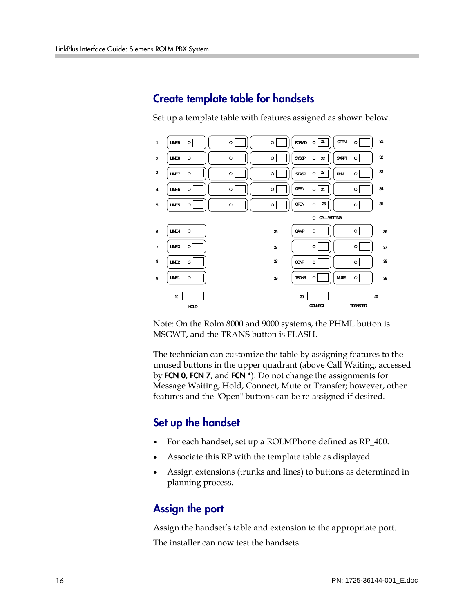### Create template table for handsets

Set up a template table with features assigned as shown below.



Note: On the Rolm 8000 and 9000 systems, the PHML button is MSGWT, and the TRANS button is FLASH.

The technician can customize the table by assigning features to the unused buttons in the upper quadrant (above Call Waiting, accessed by FCN 0, FCN 7, and FCN \*). Do not change the assignments for Message Waiting, Hold, Connect, Mute or Transfer; however, other features and the "Open" buttons can be re-assigned if desired.

### Set up the handset

- For each handset, set up a ROLMPhone defined as RP\_400.
- Associate this RP with the template table as displayed.
- Assign extensions (trunks and lines) to buttons as determined in planning process.

### Assign the port

Assign the handset's table and extension to the appropriate port. The installer can now test the handsets.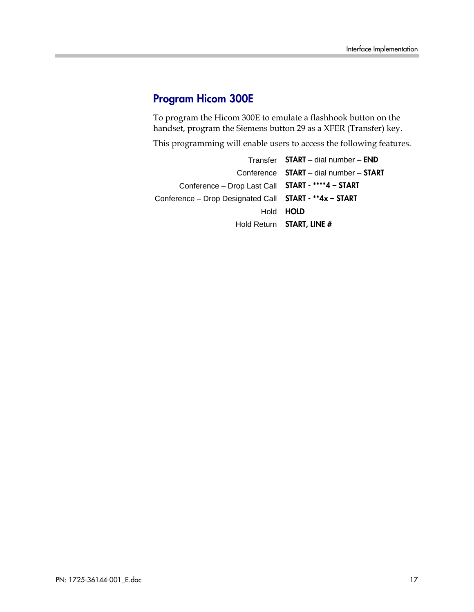### Program Hicom 300E

To program the Hicom 300E to emulate a flashhook button on the handset, program the Siemens button 29 as a XFER (Transfer) key.

This programming will enable users to access the following features.

Transfer START – dial number – END Conference START – dial number – START Conference – Drop Last Call START - \*\*\*\*4 – START Conference – Drop Designated Call START - \*\*4x – START Hold HOLD Hold Return START, LINE #